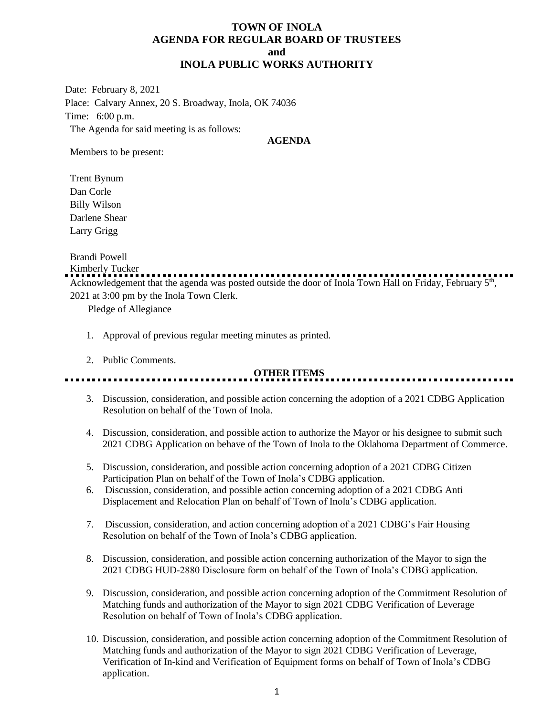# **TOWN OF INOLA AGENDA FOR REGULAR BOARD OF TRUSTEES and INOLA PUBLIC WORKS AUTHORITY**

Date: February 8, 2021 Place: Calvary Annex, 20 S. Broadway, Inola, OK 74036 Time: 6:00 p.m. The Agenda for said meeting is as follows:

#### **AGENDA**

Members to be present:

Trent Bynum Dan Corle Billy Wilson Darlene Shear Larry Grigg

Brandi Powell

Kimberly Tucker

Acknowledgement that the agenda was posted outside the door of Inola Town Hall on Friday, February 5<sup>th</sup>, 2021 at 3:00 pm by the Inola Town Clerk.

Pledge of Allegiance

- 1. Approval of previous regular meeting minutes as printed.
- 2. Public Comments.

# **OTHER ITEMS**

- 3. Discussion, consideration, and possible action concerning the adoption of a 2021 CDBG Application Resolution on behalf of the Town of Inola.
- 4. Discussion, consideration, and possible action to authorize the Mayor or his designee to submit such 2021 CDBG Application on behave of the Town of Inola to the Oklahoma Department of Commerce.
- 5. Discussion, consideration, and possible action concerning adoption of a 2021 CDBG Citizen Participation Plan on behalf of the Town of Inola's CDBG application.
- 6. Discussion, consideration, and possible action concerning adoption of a 2021 CDBG Anti Displacement and Relocation Plan on behalf of Town of Inola's CDBG application.
- 7. Discussion, consideration, and action concerning adoption of a 2021 CDBG's Fair Housing Resolution on behalf of the Town of Inola's CDBG application.
- 8. Discussion, consideration, and possible action concerning authorization of the Mayor to sign the 2021 CDBG HUD-2880 Disclosure form on behalf of the Town of Inola's CDBG application.
- 9. Discussion, consideration, and possible action concerning adoption of the Commitment Resolution of Matching funds and authorization of the Mayor to sign 2021 CDBG Verification of Leverage Resolution on behalf of Town of Inola's CDBG application.
- 10. Discussion, consideration, and possible action concerning adoption of the Commitment Resolution of Matching funds and authorization of the Mayor to sign 2021 CDBG Verification of Leverage, Verification of In-kind and Verification of Equipment forms on behalf of Town of Inola's CDBG application.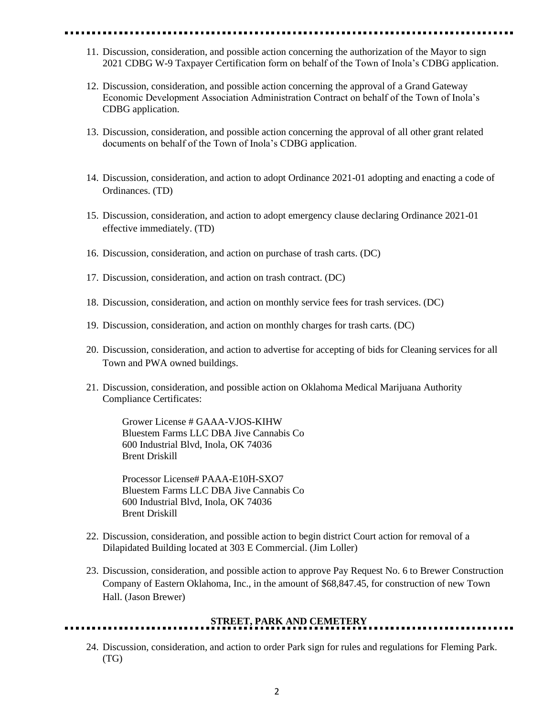- 11. Discussion, consideration, and possible action concerning the authorization of the Mayor to sign 2021 CDBG W-9 Taxpayer Certification form on behalf of the Town of Inola's CDBG application.
- 12. Discussion, consideration, and possible action concerning the approval of a Grand Gateway Economic Development Association Administration Contract on behalf of the Town of Inola's CDBG application.
- 13. Discussion, consideration, and possible action concerning the approval of all other grant related documents on behalf of the Town of Inola's CDBG application.
- 14. Discussion, consideration, and action to adopt Ordinance 2021-01 adopting and enacting a code of Ordinances. (TD)
- 15. Discussion, consideration, and action to adopt emergency clause declaring Ordinance 2021-01 effective immediately. (TD)
- 16. Discussion, consideration, and action on purchase of trash carts. (DC)
- 17. Discussion, consideration, and action on trash contract. (DC)
- 18. Discussion, consideration, and action on monthly service fees for trash services. (DC)
- 19. Discussion, consideration, and action on monthly charges for trash carts. (DC)
- 20. Discussion, consideration, and action to advertise for accepting of bids for Cleaning services for all Town and PWA owned buildings.
- 21. Discussion, consideration, and possible action on Oklahoma Medical Marijuana Authority Compliance Certificates:

Grower License # GAAA-VJOS-KIHW Bluestem Farms LLC DBA Jive Cannabis Co 600 Industrial Blvd, Inola, OK 74036 Brent Driskill

Processor License# PAAA-E10H-SXO7 Bluestem Farms LLC DBA Jive Cannabis Co 600 Industrial Blvd, Inola, OK 74036 Brent Driskill

- 22. Discussion, consideration, and possible action to begin district Court action for removal of a Dilapidated Building located at 303 E Commercial. (Jim Loller)
- 23. Discussion, consideration, and possible action to approve Pay Request No. 6 to Brewer Construction Company of Eastern Oklahoma, Inc., in the amount of \$68,847.45, for construction of new Town Hall. (Jason Brewer)

### **STREET, PARK AND CEMETERY**

24. Discussion, consideration, and action to order Park sign for rules and regulations for Fleming Park. (TG)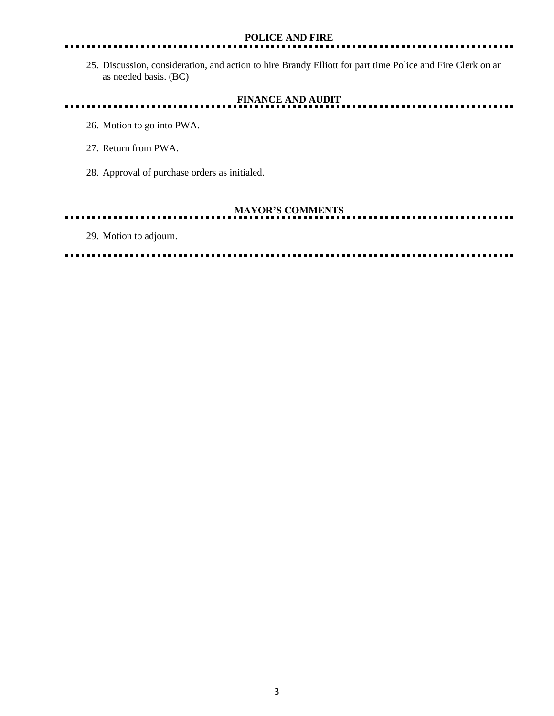#### **POLICE AND FIRE**

25. Discussion, consideration, and action to hire Brandy Elliott for part time Police and Fire Clerk on an as needed basis. (BC)

.......

# **FINANCE AND AUDIT**

- 26. Motion to go into PWA.
- 27. Return from PWA.
- 28. Approval of purchase orders as initialed.

. . . . . . . . . . . . . . . . . .

# **MAYOR'S COMMENTS**

29. Motion to adjourn.